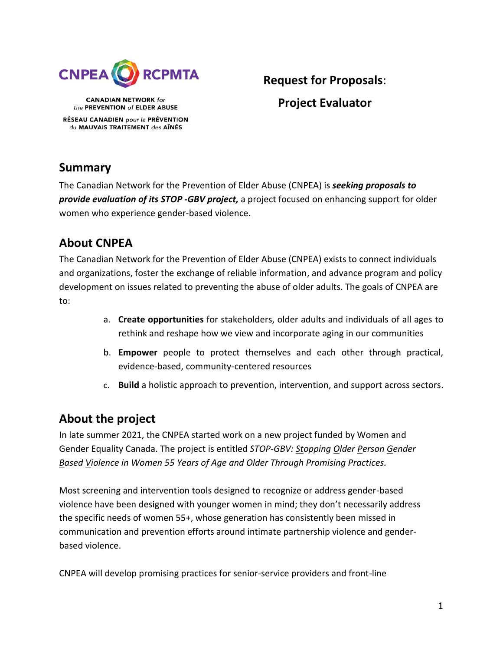

**CANADIAN NETWORK for** the PREVENTION of ELDER ABUSE RÉSEAU CANADIEN pour la PRÉVENTION du MAUVAIS TRAITEMENT des AÎNÉS

# **Request for Proposals**: **Project Evaluator**

# **Summary**

The Canadian Network for the Prevention of Elder Abuse (CNPEA) is *seeking proposals to provide evaluation of its STOP -GBV project,* a project focused on enhancing support for older women who experience gender-based violence.

# **About CNPEA**

The Canadian Network for the Prevention of Elder Abuse (CNPEA) exists to connect individuals and organizations, foster the exchange of reliable information, and advance program and policy development on issues related to preventing the abuse of older adults. The goals of CNPEA are to:

- a. **Create opportunities** for stakeholders, older adults and individuals of all ages to rethink and reshape how we view and incorporate aging in our communities
- b. **Empower** people to protect themselves and each other through practical, evidence-based, community-centered resources
- c. **Build** a holistic approach to prevention, intervention, and support across sectors.

## **About the project**

In late summer 2021, the CNPEA started work on a new project funded by Women and Gender Equality Canada. The project is entitled *STOP-GBV: Stopping Older Person Gender Based Violence in Women 55 Years of Age and Older Through Promising Practices.*

Most screening and intervention tools designed to recognize or address gender-based violence have been designed with younger women in mind; they don't necessarily address the specific needs of women 55+, whose generation has consistently been missed in communication and prevention efforts around intimate partnership violence and genderbased violence.

CNPEA will develop promising practices for senior-service providers and front-line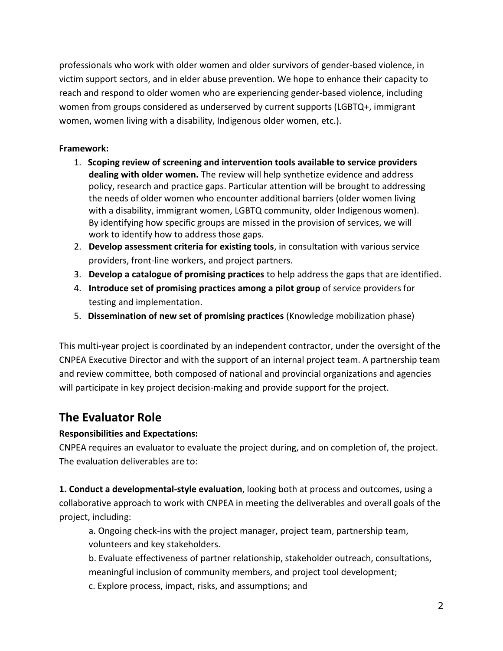professionals who work with older women and older survivors of gender-based violence, in victim support sectors, and in elder abuse prevention. We hope to enhance their capacity to reach and respond to older women who are experiencing gender-based violence, including women from groups considered as underserved by current supports (LGBTQ+, immigrant women, women living with a disability, Indigenous older women, etc.).

### **Framework:**

- 1. **Scoping review of screening and intervention tools available to service providers dealing with older women.** The review will help synthetize evidence and address policy, research and practice gaps. Particular attention will be brought to addressing the needs of older women who encounter additional barriers (older women living with a disability, immigrant women, LGBTQ community, older Indigenous women). By identifying how specific groups are missed in the provision of services, we will work to identify how to address those gaps.
- 2. **Develop assessment criteria for existing tools**, in consultation with various service providers, front-line workers, and project partners.
- 3. **Develop a catalogue of promising practices** to help address the gaps that are identified.
- 4. **Introduce set of promising practices among a pilot group** of service providers for testing and implementation.
- 5. **Dissemination of new set of promising practices** (Knowledge mobilization phase)

This multi-year project is coordinated by an independent contractor, under the oversight of the CNPEA Executive Director and with the support of an internal project team. A partnership team and review committee, both composed of national and provincial organizations and agencies will participate in key project decision-making and provide support for the project.

## **The Evaluator Role**

#### **Responsibilities and Expectations:**

CNPEA requires an evaluator to evaluate the project during, and on completion of, the project. The evaluation deliverables are to:

**1. Conduct a developmental-style evaluation**, looking both at process and outcomes, using a collaborative approach to work with CNPEA in meeting the deliverables and overall goals of the project, including:

a. Ongoing check-ins with the project manager, project team, partnership team, volunteers and key stakeholders.

b. Evaluate effectiveness of partner relationship, stakeholder outreach, consultations, meaningful inclusion of community members, and project tool development;

c. Explore process, impact, risks, and assumptions; and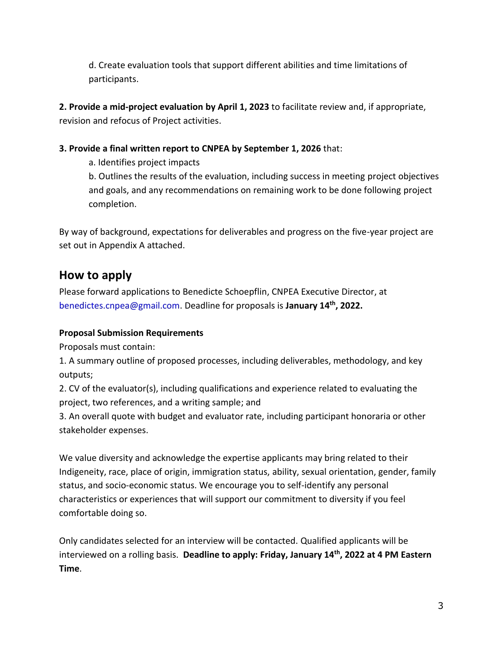d. Create evaluation tools that support different abilities and time limitations of participants.

**2. Provide a mid-project evaluation by April 1, 2023** to facilitate review and, if appropriate, revision and refocus of Project activities.

### **3. Provide a final written report to CNPEA by September 1, 2026** that:

a. Identifies project impacts

b. Outlines the results of the evaluation, including success in meeting project objectives and goals, and any recommendations on remaining work to be done following project completion.

By way of background, expectations for deliverables and progress on the five-year project are set out in Appendix A attached.

# **How to apply**

Please forward applications to Benedicte Schoepflin, CNPEA Executive Director, at benedictes.cnpea@gmail.com. Deadline for proposals is **January 14th, 2022.**

#### **Proposal Submission Requirements**

Proposals must contain:

1. A summary outline of proposed processes, including deliverables, methodology, and key outputs;

2. CV of the evaluator(s), including qualifications and experience related to evaluating the project, two references, and a writing sample; and

3. An overall quote with budget and evaluator rate, including participant honoraria or other stakeholder expenses.

We value diversity and acknowledge the expertise applicants may bring related to their Indigeneity, race, place of origin, immigration status, ability, sexual orientation, gender, family status, and socio-economic status. We encourage you to self-identify any personal characteristics or experiences that will support our commitment to diversity if you feel comfortable doing so.

Only candidates selected for an interview will be contacted. Qualified applicants will be interviewed on a rolling basis. **Deadline to apply: Friday, January 14th, 2022 at 4 PM Eastern Time**.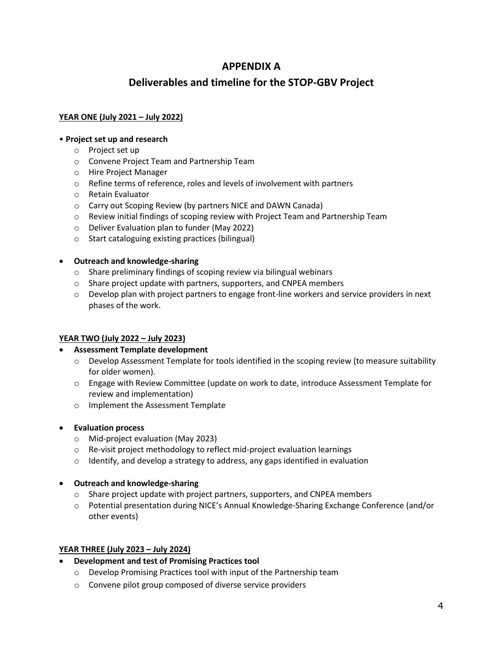### **APPENDIX A**

### **Deliverables and timeline for the STOP-GBV Project**

#### **YEAR ONE (July 2021 – July 2022)**

#### • **Project set up and research**

- o Project set up
- o Convene Project Team and Partnership Team
- o Hire Project Manager
- o Refine terms of reference, roles and levels of involvement with partners
- o Retain Evaluator
- o Carry out Scoping Review (by partners NICE and DAWN Canada)
- o Review initial findings of scoping review with Project Team and Partnership Team
- o Deliver Evaluation plan to funder (May 2022)
- o Start cataloguing existing practices (bilingual)

#### • **Outreach and knowledge-sharing**

- o Share preliminary findings of scoping review via bilingual webinars
- o Share project update with partners, supporters, and CNPEA members
- o Develop plan with project partners to engage front-line workers and service providers in next phases of the work.

#### **YEAR TWO (July 2022 – July 2023)**

#### • **Assessment Template development**

- o Develop Assessment Template for tools identified in the scoping review (to measure suitability for older women).
- o Engage with Review Committee (update on work to date, introduce Assessment Template for review and implementation)
- o Implement the Assessment Template
- **Evaluation process**
	- o Mid-project evaluation (May 2023)
	- o Re-visit project methodology to reflect mid-project evaluation learnings
	- o Identify, and develop a strategy to address, any gaps identified in evaluation
- **Outreach and knowledge-sharing**
	- $\circ$  Share project update with project partners, supporters, and CNPEA members
	- o Potential presentation during NICE's Annual Knowledge-Sharing Exchange Conference (and/or other events)

#### **YEAR THREE (July 2023 – July 2024)**

- **Development and test of Promising Practices tool**
	- o Develop Promising Practices tool with input of the Partnership team
	- o Convene pilot group composed of diverse service providers